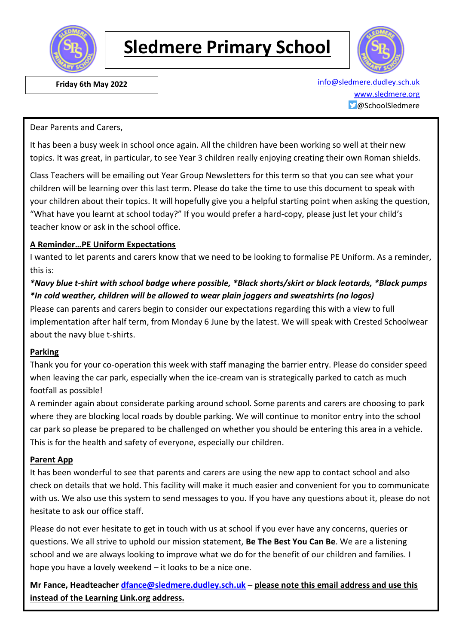

# **Sledmere Primary School**



 **Friday 6th May 2022** [info@sledmere.dudley.sch.uk](mailto:info@sledmere.dudley.sch.uk) [www.sledmere.org](http://www.sledmere.org/) @SchoolSledmere

Dear Parents and Carers,

It has been a busy week in school once again. All the children have been working so well at their new topics. It was great, in particular, to see Year 3 children really enjoying creating their own Roman shields.

Class Teachers will be emailing out Year Group Newsletters for this term so that you can see what your children will be learning over this last term. Please do take the time to use this document to speak with your children about their topics. It will hopefully give you a helpful starting point when asking the question, "What have you learnt at school today?" If you would prefer a hard-copy, please just let your child's teacher know or ask in the school office.

#### **A Reminder…PE Uniform Expectations**

I wanted to let parents and carers know that we need to be looking to formalise PE Uniform. As a reminder, this is:

## *\*Navy blue t-shirt with school badge where possible, \*Black shorts/skirt or black leotards, \*Black pumps \*In cold weather, children will be allowed to wear plain joggers and sweatshirts (no logos)*

Please can parents and carers begin to consider our expectations regarding this with a view to full implementation after half term, from Monday 6 June by the latest. We will speak with Crested Schoolwear about the navy blue t-shirts.

#### **Parking**

Thank you for your co-operation this week with staff managing the barrier entry. Please do consider speed when leaving the car park, especially when the ice-cream van is strategically parked to catch as much footfall as possible!

A reminder again about considerate parking around school. Some parents and carers are choosing to park where they are blocking local roads by double parking. We will continue to monitor entry into the school car park so please be prepared to be challenged on whether you should be entering this area in a vehicle. This is for the health and safety of everyone, especially our children.

#### **Parent App**

It has been wonderful to see that parents and carers are using the new app to contact school and also check on details that we hold. This facility will make it much easier and convenient for you to communicate with us. We also use this system to send messages to you. If you have any questions about it, please do not hesitate to ask our office staff.

Please do not ever hesitate to get in touch with us at school if you ever have any concerns, queries or questions. We all strive to uphold our mission statement, **Be The Best You Can Be**. We are a listening school and we are always looking to improve what we do for the benefit of our children and families. I hope you have a lovely weekend – it looks to be a nice one.

**Mr Fance, Headteacher [dfance@sledmere.dudley.sch.uk](mailto:dfance@sledmere.dudley.sch.uk) – please note this email address and use this instead of the Learning Link.org address.**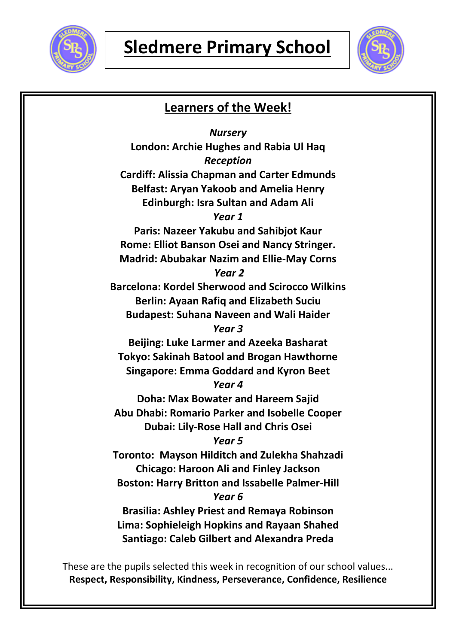



| <b>Learners of the Week!</b>                           |  |  |  |
|--------------------------------------------------------|--|--|--|
| <b>Nursery</b>                                         |  |  |  |
| London: Archie Hughes and Rabia Ul Haq                 |  |  |  |
| <b>Reception</b>                                       |  |  |  |
| <b>Cardiff: Alissia Chapman and Carter Edmunds</b>     |  |  |  |
| <b>Belfast: Aryan Yakoob and Amelia Henry</b>          |  |  |  |
| <b>Edinburgh: Isra Sultan and Adam Ali</b>             |  |  |  |
| Year 1                                                 |  |  |  |
| Paris: Nazeer Yakubu and Sahibjot Kaur                 |  |  |  |
| <b>Rome: Elliot Banson Osei and Nancy Stringer.</b>    |  |  |  |
| <b>Madrid: Abubakar Nazim and Ellie-May Corns</b>      |  |  |  |
| Year <sub>2</sub>                                      |  |  |  |
| <b>Barcelona: Kordel Sherwood and Scirocco Wilkins</b> |  |  |  |
| <b>Berlin: Ayaan Rafiq and Elizabeth Suciu</b>         |  |  |  |
| <b>Budapest: Suhana Naveen and Wali Haider</b>         |  |  |  |
| Year 3                                                 |  |  |  |
| Beijing: Luke Larmer and Azeeka Basharat               |  |  |  |
| <b>Tokyo: Sakinah Batool and Brogan Hawthorne</b>      |  |  |  |
| <b>Singapore: Emma Goddard and Kyron Beet</b>          |  |  |  |
| Year 4                                                 |  |  |  |
| <b>Doha: Max Bowater and Hareem Sajid</b>              |  |  |  |
| Abu Dhabi: Romario Parker and Isobelle Cooper          |  |  |  |
| <b>Dubai: Lily-Rose Hall and Chris Osei</b>            |  |  |  |
| Year 5                                                 |  |  |  |
| Toronto: Mayson Hilditch and Zulekha Shahzadi          |  |  |  |
| <b>Chicago: Haroon Ali and Finley Jackson</b>          |  |  |  |
| <b>Boston: Harry Britton and Issabelle Palmer-Hill</b> |  |  |  |
| Year 6                                                 |  |  |  |
| <b>Brasilia: Ashley Priest and Remaya Robinson</b>     |  |  |  |
| <b>Lima: Sophieleigh Hopkins and Rayaan Shahed</b>     |  |  |  |
| <b>Santiago: Caleb Gilbert and Alexandra Preda</b>     |  |  |  |
|                                                        |  |  |  |

These are the pupils selected this week in recognition of our school values... **Respect, Responsibility, Kindness, Perseverance, Confidence, Resilience**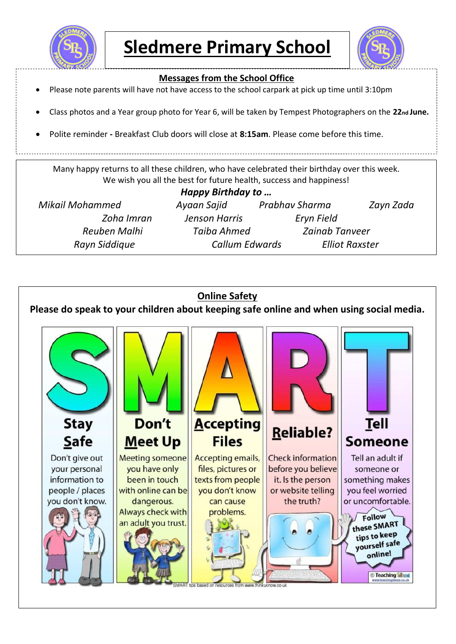



#### **Messages from the School Office**

- Please note parents will have not have access to the school carpark at pick up time until 3:10pm
- Class photos and a Year group photo for Year 6, will be taken by Tempest Photographers on the 22<sub>nd</sub> June.
- Polite reminder **-** Breakfast Club doors will close at **8:15am**. Please come before this time.

Many happy returns to all these children, who have celebrated their birthday over this week. We wish you all the best for future health, success and happiness!

| Happy Birthday to      |                       |                       |                       |  |  |
|------------------------|-----------------------|-----------------------|-----------------------|--|--|
| <b>Mikail Mohammed</b> | Ayaan Sajid           | Prabhav Sharma        | Zayn Zada             |  |  |
| Zoha Imran             | Jenson Harris         | Eryn Field            |                       |  |  |
| Reuben Malhi           | Taiba Ahmed           | <b>Zainab Tanveer</b> |                       |  |  |
| Rayn Siddique          | <b>Callum Edwards</b> |                       | <b>Elliot Raxster</b> |  |  |

## **Online Safety**

**Please do speak to your children about keeping safe online and when using social media.**